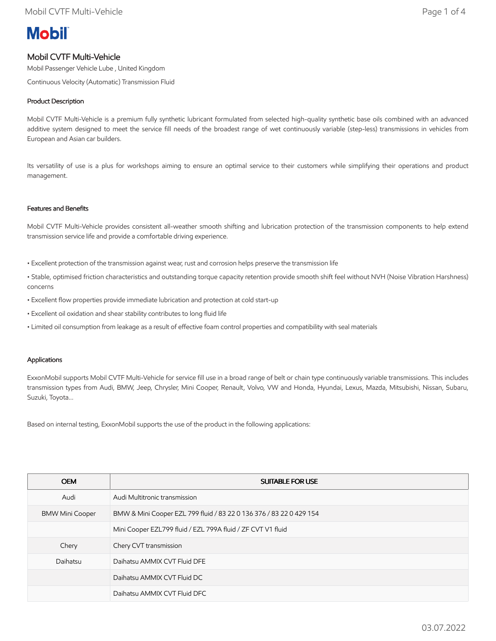# **Mobil**

## Mobil CVTF Multi-Vehicle

Mobil Passenger Vehicle Lube , United Kingdom

Continuous Velocity (Automatic) Transmission Fluid

### Product Description

Mobil CVTF Multi-Vehicle is a premium fully synthetic lubricant formulated from selected high-quality synthetic base oils combined with an advanced additive system designed to meet the service fill needs of the broadest range of wet continuously variable (step-less) transmissions in vehicles from European and Asian car builders.

Its versatility of use is a plus for workshops aiming to ensure an optimal service to their customers while simplifying their operations and product management.

#### Features and Benefits

Mobil CVTF Multi-Vehicle provides consistent all-weather smooth shifting and lubrication protection of the transmission components to help extend transmission service life and provide a comfortable driving experience.

- Excellent protection of the transmission against wear, rust and corrosion helps preserve the transmission life
- Stable, optimised friction characteristics and outstanding torque capacity retention provide smooth shift feel without NVH (Noise Vibration Harshness) concerns
- Excellent flow properties provide immediate lubrication and protection at cold start-up
- Excellent oil oxidation and shear stability contributes to long fluid life
- Limited oil consumption from leakage as a result of effective foam control properties and compatibility with seal materials

#### Applications

ExxonMobil supports Mobil CVTF Multi-Vehicle for service fill use in a broad range of belt or chain type continuously variable transmissions. This includes transmission types from Audi, BMW, Jeep, Chrysler, Mini Cooper, Renault, Volvo, VW and Honda, Hyundai, Lexus, Mazda, Mitsubishi, Nissan, Subaru, Suzuki, Toyota...

Based on internal testing, ExxonMobil supports the use of the product in the following applications:

| <b>OEM</b>             | <b>SUITABLE FOR USE</b>                                             |
|------------------------|---------------------------------------------------------------------|
| Audi                   | Audi Multitronic transmission                                       |
| <b>BMW Mini Cooper</b> | BMW & Mini Cooper EZL 799 fluid / 83 22 0 136 376 / 83 22 0 429 154 |
|                        | Mini Cooper EZL799 fluid / EZL 799A fluid / ZF CVT V1 fluid         |
| Chery                  | Chery CVT transmission                                              |
| Daihatsu               | Daihatsu AMMIX CVT Fluid DFE                                        |
|                        | Daihatsu AMMIX CVT Fluid DC                                         |
|                        | Daihatsu AMMIX CVT Fluid DFC                                        |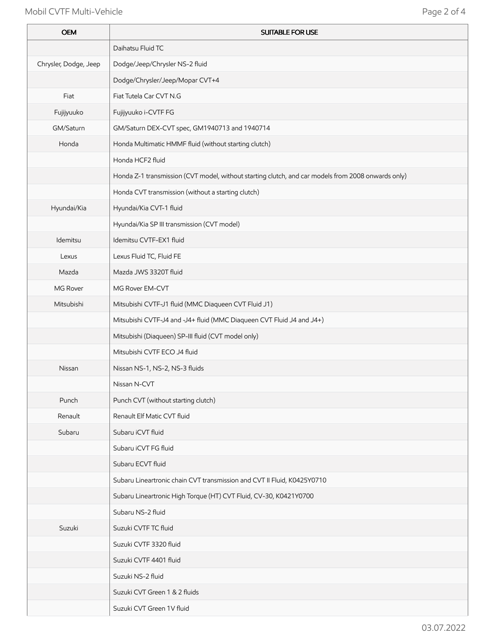## Mobil CVTF Multi-Vehicle **Page 2 of 4**

j.

i.

| <b>OEM</b>            | <b>SUITABLE FOR USE</b>                                                                            |
|-----------------------|----------------------------------------------------------------------------------------------------|
|                       | Daihatsu Fluid TC                                                                                  |
| Chrysler, Dodge, Jeep | Dodge/Jeep/Chrysler NS-2 fluid                                                                     |
|                       | Dodge/Chrysler/Jeep/Mopar CVT+4                                                                    |
| Fiat                  | Fiat Tutela Car CVT N.G                                                                            |
| Fujijyuuko            | Fujijyuuko i-CVTF FG                                                                               |
| GM/Saturn             | GM/Saturn DEX-CVT spec, GM1940713 and 1940714                                                      |
| Honda                 | Honda Multimatic HMMF fluid (without starting clutch)                                              |
|                       | Honda HCF2 fluid                                                                                   |
|                       | Honda Z-1 transmission (CVT model, without starting clutch, and car models from 2008 onwards only) |
|                       | Honda CVT transmission (without a starting clutch)                                                 |
| Hyundai/Kia           | Hyundai/Kia CVT-1 fluid                                                                            |
|                       | Hyundai/Kia SP III transmission (CVT model)                                                        |
| Idemitsu              | Idemitsu CVTF-EX1 fluid                                                                            |
| Lexus                 | Lexus Fluid TC, Fluid FE                                                                           |
| Mazda                 | Mazda JWS 3320T fluid                                                                              |
| MG Rover              | MG Rover EM-CVT                                                                                    |
| Mitsubishi            | Mitsubishi CVTF-J1 fluid (MMC Diaqueen CVT Fluid J1)                                               |
|                       | Mitsubishi CVTF-J4 and -J4+ fluid (MMC Diaqueen CVT Fluid J4 and J4+)                              |
|                       | Mitsubishi (Diaqueen) SP-III fluid (CVT model only)                                                |
|                       | Mitsubishi CVTF ECO J4 fluid                                                                       |
| Nissan                | Nissan NS-1, NS-2, NS-3 fluids                                                                     |
|                       | Nissan N-CVT                                                                                       |
| Punch                 | Punch CVT (without starting clutch)                                                                |
| Renault               | Renault Elf Matic CVT fluid                                                                        |
| Subaru                | Subaru iCVT fluid                                                                                  |
|                       | Subaru iCVT FG fluid                                                                               |
|                       | Subaru ECVT fluid                                                                                  |
|                       | Subaru Lineartronic chain CVT transmission and CVT II Fluid, K0425Y0710                            |
|                       | Subaru Lineartronic High Torque (HT) CVT Fluid, CV-30, K0421Y0700                                  |
|                       | Subaru NS-2 fluid                                                                                  |
| Suzuki                | Suzuki CVTF TC fluid                                                                               |
|                       | Suzuki CVTF 3320 fluid                                                                             |
|                       | Suzuki CVTF 4401 fluid                                                                             |
|                       | Suzuki NS-2 fluid                                                                                  |
|                       | Suzuki CVT Green 1 & 2 fluids                                                                      |
|                       | Suzuki CVT Green 1V fluid                                                                          |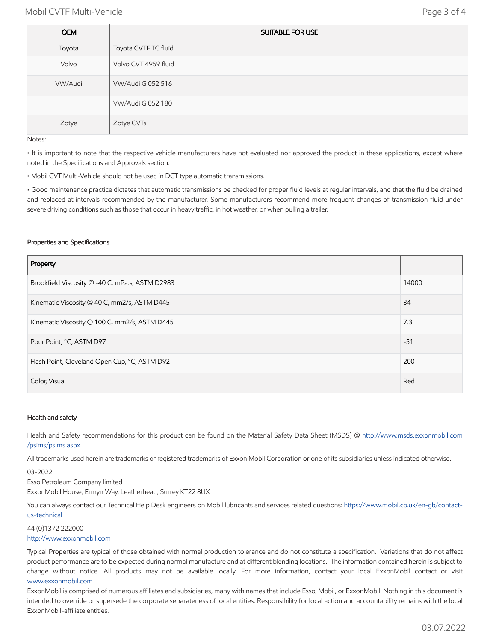| <b>OEM</b> | SUITABLE FOR USE     |
|------------|----------------------|
| Toyota     | Toyota CVTF TC fluid |
| Volvo      | Volvo CVT 4959 fluid |
| VW/Audi    | VW/Audi G 052 516    |
|            | VW/Audi G 052 180    |
| Zotye      | Zotye CVTs           |

Notes:

• It is important to note that the respective vehicle manufacturers have not evaluated nor approved the product in these applications, except where noted in the Specifications and Approvals section.

• Mobil CVT Multi-Vehicle should not be used in DCT type automatic transmissions.

• Good maintenance practice dictates that automatic transmissions be checked for proper fluid levels at regular intervals, and that the fluid be drained and replaced at intervals recommended by the manufacturer. Some manufacturers recommend more frequent changes of transmission fluid under severe driving conditions such as those that occur in heavy traffic, in hot weather, or when pulling a trailer.

#### Properties and Specifications

| Property                                        |       |
|-------------------------------------------------|-------|
| Brookfield Viscosity @ -40 C, mPa.s, ASTM D2983 | 14000 |
| Kinematic Viscosity @ 40 C, mm2/s, ASTM D445    | 34    |
| Kinematic Viscosity @ 100 C, mm2/s, ASTM D445   | 7.3   |
| Pour Point, °C, ASTM D97                        | $-51$ |
| Flash Point, Cleveland Open Cup, °C, ASTM D92   |       |
| Color, Visual                                   | Red   |

#### Health and safety

Health and Safety recommendations for this product can be found on the Material Safety Data Sheet (MSDS) @ [http://www.msds.exxonmobil.com](http://www.msds.exxonmobil.com/psims/psims.aspx) /psims/psims.aspx

All trademarks used herein are trademarks or registered trademarks of Exxon Mobil Corporation or one of its subsidiaries unless indicated otherwise.

03-2022

Esso Petroleum Company limited ExxonMobil House, Ermyn Way, Leatherhead, Surrey KT22 8UX

You can always contact our Technical Help Desk engineers on Mobil lubricants and services related questions: [https://www.mobil.co.uk/en-gb/contact](https://www.mobil.co.uk/en-gb/contact-us-technical)us-technical

44 (0)1372 222000 [http://www.exxonmobil.com](http://www.exxonmobil.com/)

Typical Properties are typical of those obtained with normal production tolerance and do not constitute a specification. Variations that do not affect product performance are to be expected during normal manufacture and at different blending locations. The information contained herein is subject to change without notice. All products may not be available locally. For more information, contact your local ExxonMobil contact or visit [www.exxonmobil.com](http://www.exxonmobil.com/)

ExxonMobil is comprised of numerous affiliates and subsidiaries, many with names that include Esso, Mobil, or ExxonMobil. Nothing in this document is intended to override or supersede the corporate separateness of local entities. Responsibility for local action and accountability remains with the local ExxonMobil-affiliate entities.